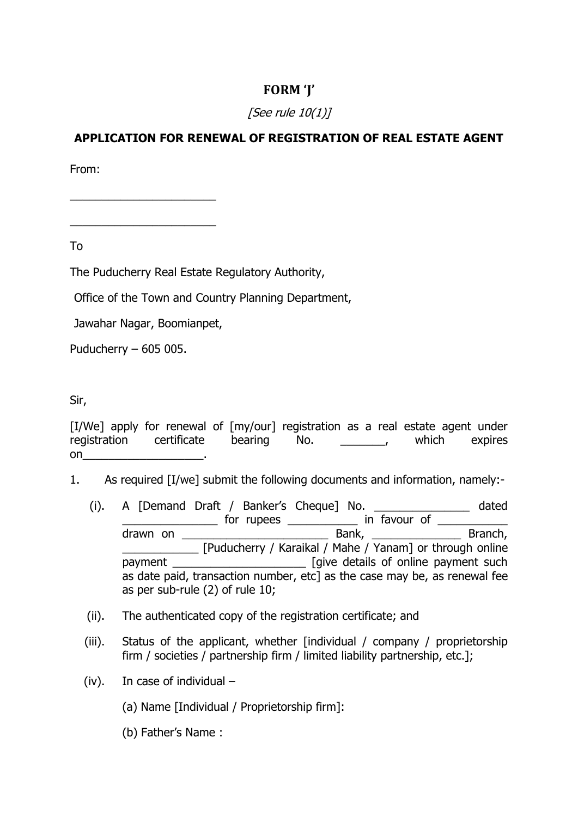## **FORM 'J'**

## [See rule 10(1)]

## **APPLICATION FOR RENEWAL OF REGISTRATION OF REAL ESTATE AGENT**

From:

To

The Puducherry Real Estate Regulatory Authority,

Office of the Town and Country Planning Department,

Jawahar Nagar, Boomianpet,

 $\frac{1}{2}$  ,  $\frac{1}{2}$  ,  $\frac{1}{2}$  ,  $\frac{1}{2}$  ,  $\frac{1}{2}$  ,  $\frac{1}{2}$  ,  $\frac{1}{2}$  ,  $\frac{1}{2}$  ,  $\frac{1}{2}$  ,  $\frac{1}{2}$  ,  $\frac{1}{2}$  ,  $\frac{1}{2}$  ,  $\frac{1}{2}$  ,  $\frac{1}{2}$  ,  $\frac{1}{2}$  ,  $\frac{1}{2}$  ,  $\frac{1}{2}$  ,  $\frac{1}{2}$  ,  $\frac{1$ 

 $\frac{1}{2}$  ,  $\frac{1}{2}$  ,  $\frac{1}{2}$  ,  $\frac{1}{2}$  ,  $\frac{1}{2}$  ,  $\frac{1}{2}$  ,  $\frac{1}{2}$  ,  $\frac{1}{2}$  ,  $\frac{1}{2}$  ,  $\frac{1}{2}$  ,  $\frac{1}{2}$  ,  $\frac{1}{2}$  ,  $\frac{1}{2}$  ,  $\frac{1}{2}$  ,  $\frac{1}{2}$  ,  $\frac{1}{2}$  ,  $\frac{1}{2}$  ,  $\frac{1}{2}$  ,  $\frac{1$ 

Puducherry – 605 005.

Sir,

|    | [I/We] apply for renewal of [my/our] registration as a real estate agent under |             |  |                                          |               |
|----|--------------------------------------------------------------------------------|-------------|--|------------------------------------------|---------------|
|    | registration certificate                                                       | bearing No. |  | <b><i>Contract Contract Services</i></b> | which expires |
| on |                                                                                |             |  |                                          |               |

- 1. As required [I/we] submit the following documents and information, namely:-
	- (i). A [Demand Draft / Banker's Cheque] No. \_\_\_\_\_\_\_\_\_\_\_\_\_\_\_ dated \_\_\_\_\_\_\_\_\_\_\_\_\_\_\_ for rupees \_\_\_\_\_\_\_\_\_\_\_ in favour of \_\_\_\_\_\_\_\_\_\_\_ drawn on \_\_\_\_\_\_\_\_\_\_\_\_\_\_\_\_\_\_\_\_\_\_\_ Bank, \_\_\_\_\_\_\_\_\_\_\_\_\_\_ Branch, \_\_\_\_\_\_\_\_\_\_\_\_ [Puducherry / Karaikal / Mahe / Yanam] or through online payment \_\_\_\_\_\_\_\_\_\_\_\_\_\_\_\_\_\_\_\_\_\_\_\_\_\_\_\_\_ [give details of online payment such as date paid, transaction number, etc] as the case may be, as renewal fee as per sub-rule (2) of rule 10;
	- (ii). The authenticated copy of the registration certificate; and
	- (iii). Status of the applicant, whether [individual / company / proprietorship firm / societies / partnership firm / limited liability partnership, etc.];
	- (iv). In case of individual
		- (a) Name [Individual / Proprietorship firm]:
		- (b) Father's Name :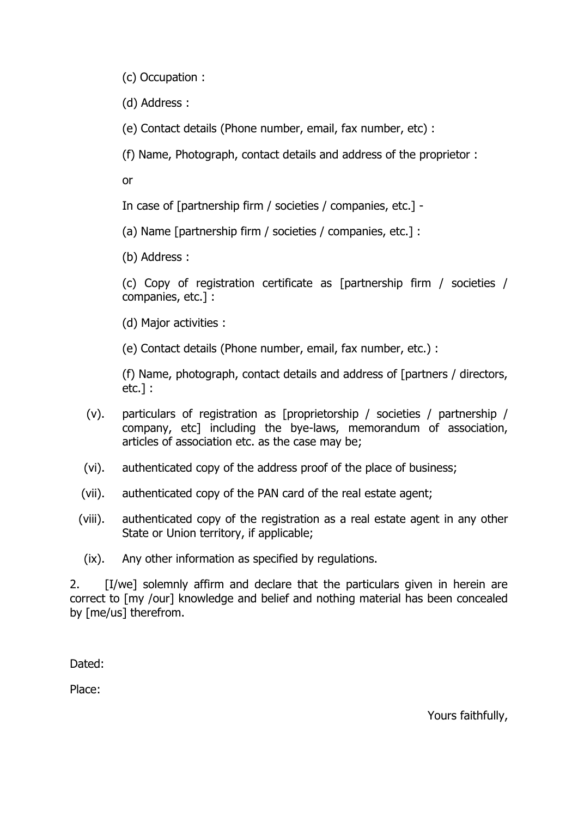(c) Occupation :

(d) Address :

(e) Contact details (Phone number, email, fax number, etc) :

(f) Name, Photograph, contact details and address of the proprietor :

or

In case of [partnership firm / societies / companies, etc.] -

(a) Name [partnership firm / societies / companies, etc.] :

(b) Address :

(c) Copy of registration certificate as [partnership firm / societies / companies, etc.] :

(d) Major activities :

(e) Contact details (Phone number, email, fax number, etc.) :

(f) Name, photograph, contact details and address of [partners / directors, etc.] :

- (v). particulars of registration as [proprietorship / societies / partnership / company, etc] including the bye-laws, memorandum of association, articles of association etc. as the case may be;
- (vi). authenticated copy of the address proof of the place of business;
- (vii). authenticated copy of the PAN card of the real estate agent;
- (viii). authenticated copy of the registration as a real estate agent in any other State or Union territory, if applicable;
- (ix). Any other information as specified by regulations.

2. [I/we] solemnly affirm and declare that the particulars given in herein are correct to [my /our] knowledge and belief and nothing material has been concealed by [me/us] therefrom.

Dated:

Place:

Yours faithfully,